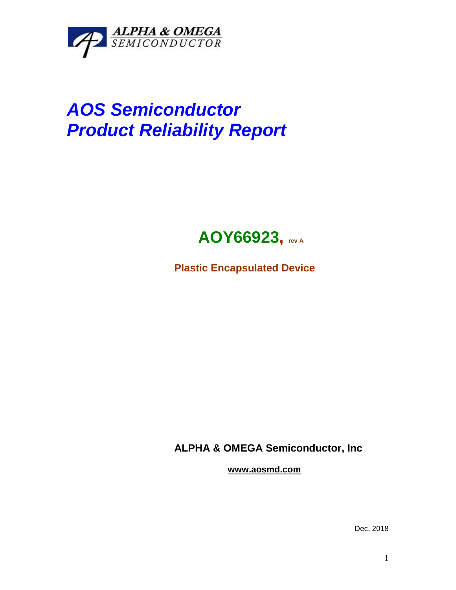

## *AOS Semiconductor Product Reliability Report*



**Plastic Encapsulated Device**

**ALPHA & OMEGA Semiconductor, Inc**

**www.aosmd.com**

Dec, 2018